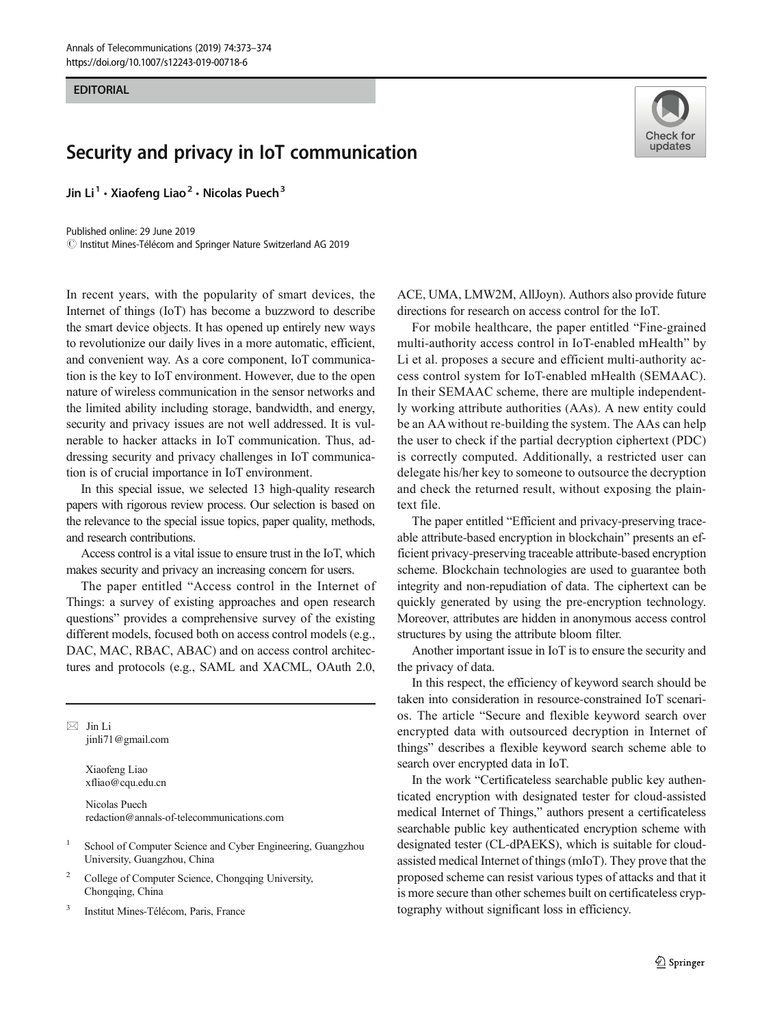## **EDITORIAL** EDITORIAL

## Security and privacy in IoT communication

Jin Li<sup>1</sup>  $\cdot$  Xiaofeng Liao<sup>2</sup>  $\cdot$  Nicolas Puech<sup>3</sup>

Published online: 29 June 2019  $\circled{c}$  Institut Mines-Télécom and Springer Nature Switzerland AG 2019

In recent years, with the popularity of smart devices, the Internet of things (IoT) has become a buzzword to describe the smart device objects. It has opened up entirely new ways to revolutionize our daily lives in a more automatic, efficient, and convenient way. As a core component, IoT communication is the key to IoT environment. However, due to the open nature of wireless communication in the sensor networks and the limited ability including storage, bandwidth, and energy, security and privacy issues are not well addressed. It is vulnerable to hacker attacks in IoT communication. Thus, addressing security and privacy challenges in IoT communication is of crucial importance in IoT environment.

In this special issue, we selected 13 high-quality research papers with rigorous review process. Our selection is based on the relevance to the special issue topics, paper quality, methods, and research contributions.

Access control is a vital issue to ensure trust in the IoT, which makes security and privacy an increasing concern for users.

The paper entitled "Access control in the Internet of Things: a survey of existing approaches and open research questions" provides a comprehensive survey of the existing different models, focused both on access control models (e.g., DAC, MAC, RBAC, ABAC) and on access control architectures and protocols (e.g., SAML and XACML, OAuth 2.0,

 $\boxtimes$  Jin Li [jinli71@gmail.com](mailto:jinli71@gmail.com)

> Xiaofeng Liao xfliao@cqu.edu.cn

Nicolas Puech redaction@annals-of-telecommunications.com

- <sup>1</sup> School of Computer Science and Cyber Engineering, Guangzhou University, Guangzhou, China
- <sup>2</sup> College of Computer Science, Chongqing University, Chongqing, China
- <sup>3</sup> Institut Mines-Télécom, Paris, France



ACE, UMA, LMW2M, AllJoyn). Authors also provide future directions for research on access control for the IoT.

For mobile healthcare, the paper entitled "Fine-grained multi-authority access control in IoT-enabled mHealth" by Li et al. proposes a secure and efficient multi-authority access control system for IoT-enabled mHealth (SEMAAC). In their SEMAAC scheme, there are multiple independently working attribute authorities (AAs). A new entity could be an AA without re-building the system. The AAs can help the user to check if the partial decryption ciphertext (PDC) is correctly computed. Additionally, a restricted user can delegate his/her key to someone to outsource the decryption and check the returned result, without exposing the plaintext file.

The paper entitled "Efficient and privacy-preserving traceable attribute-based encryption in blockchain" presents an efficient privacy-preserving traceable attribute-based encryption scheme. Blockchain technologies are used to guarantee both integrity and non-repudiation of data. The ciphertext can be quickly generated by using the pre-encryption technology. Moreover, attributes are hidden in anonymous access control structures by using the attribute bloom filter.

Another important issue in IoT is to ensure the security and the privacy of data.

In this respect, the efficiency of keyword search should be taken into consideration in resource-constrained IoT scenarios. The article "Secure and flexible keyword search over encrypted data with outsourced decryption in Internet of things" describes a flexible keyword search scheme able to search over encrypted data in IoT.

In the work "Certificateless searchable public key authenticated encryption with designated tester for cloud-assisted medical Internet of Things," authors present a certificateless searchable public key authenticated encryption scheme with designated tester (CL-dPAEKS), which is suitable for cloudassisted medical Internet of things (mIoT). They prove that the proposed scheme can resist various types of attacks and that it is more secure than other schemes built on certificateless cryptography without significant loss in efficiency.